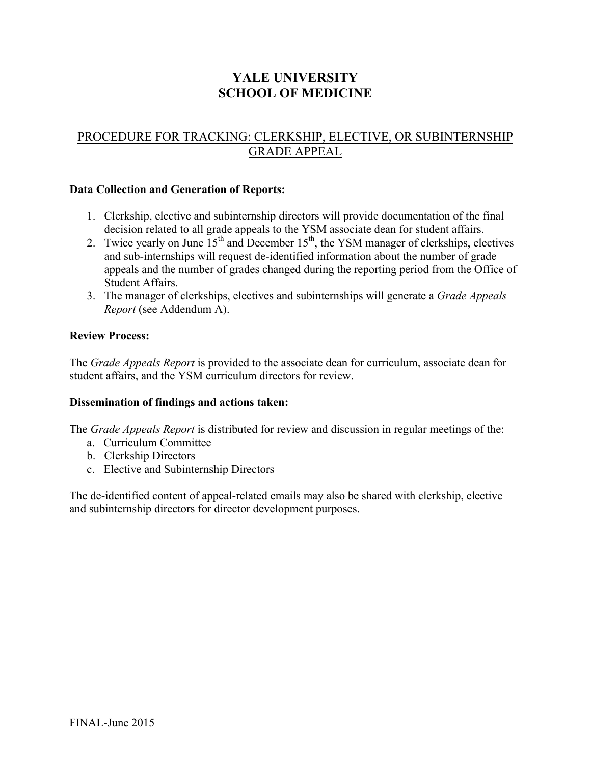# **YALE UNIVERSITY SCHOOL OF MEDICINE**

## PROCEDURE FOR TRACKING: CLERKSHIP, ELECTIVE, OR SUBINTERNSHIP GRADE APPEAL

#### **Data Collection and Generation of Reports:**

- 1. Clerkship, elective and subinternship directors will provide documentation of the final decision related to all grade appeals to the YSM associate dean for student affairs.
- 2. Twice yearly on June  $15<sup>th</sup>$  and December  $15<sup>th</sup>$ , the YSM manager of clerkships, electives and sub-internships will request de-identified information about the number of grade appeals and the number of grades changed during the reporting period from the Office of Student Affairs.
- 3. The manager of clerkships, electives and subinternships will generate a *Grade Appeals Report* (see Addendum A).

#### **Review Process:**

The *Grade Appeals Report* is provided to the associate dean for curriculum, associate dean for student affairs, and the YSM curriculum directors for review.

#### **Dissemination of findings and actions taken:**

The *Grade Appeals Report* is distributed for review and discussion in regular meetings of the:

- a. Curriculum Committee
- b. Clerkship Directors
- c. Elective and Subinternship Directors

The de-identified content of appeal-related emails may also be shared with clerkship, elective and subinternship directors for director development purposes.